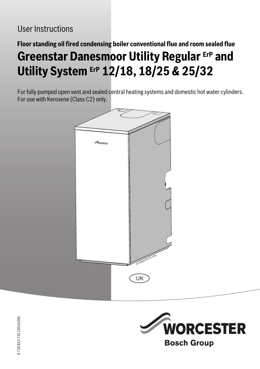# **Floor standing oil fired condensing boiler conventional flue and room sealed flue Greenstar Danesmoor Utility Regular ErP and Utility System ErP 12/18, 18/25 & 25/32**

For fully pumped open vent and sealed central heating systems and domestic hot water cylinders. For use with Kerosene (Class C2) only.





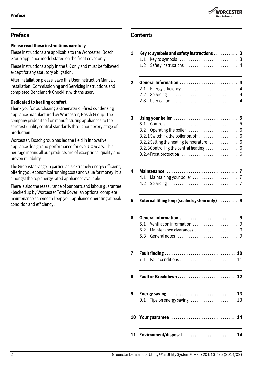

## **Preface**

## **Please read these instructions carefully**

These instructions are applicable to the Worcester, Bosch Group appliance model stated on the front cover only.

These instructions apply in the UK only and must be followed except for any statutory obligation.

After installation please leave this User instruction Manual, Installation, Commissioning and Servicing Instructions and completed Benchmark Checklist with the user.

## **Dedicated to heating comfort**

Thank you for purchasing a Greenstar oil-fired condensing appliance manufactured by Worcester, Bosch Group. The company prides itself on manufacturing appliances to the strictest quality control standards throughout every stage of production.

Worcester, Bosch group has led the field in innovative appliance design and performance for over 50 years. This heritage means all our products are of exceptional quality and proven reliability.

The Greenstar range in particular is extremely energy efficient, offering you economical running costs and value for money. It is amongst the top energy rated appliances available.

There is also the reassurance of our parts and labour guarantee - backed up by Worcester Total Cover, an optional complete maintenance scheme to keep your appliance operating at peak condition and efficiency.

## **Contents**

## **1 Key to symbols and safety instructions . . . . . . . . . . . 3** [1.1 Key to symbols . . . . . . . . . . . . . . . . . . . . . . . . . . . 3](#page-2-0) [1.2 Safety instructions . . . . . . . . . . . . . . . . . . . . . . . . 4](#page-3-0) **[2 General Information . . . . . . . . . . . . . . . . . . . . . . . . . . . 4](#page-3-1)** [2.1 Energy efficiency . . . . . . . . . . . . . . . . . . . . . . . . . . 4](#page-3-2) [2.2 Servicing . . . . . . . . . . . . . . . . . . . . . . . . . . . . . . . . 4](#page-3-3) [2.3 User caution . . . . . . . . . . . . . . . . . . . . . . . . . . . . . . 4](#page-3-4) **[3 Using your boiler . . . . . . . . . . . . . . . . . . . . . . . . . . . . . . 5](#page-4-0)** [3.1 Controls . . . . . . . . . . . . . . . . . . . . . . . . . . . . . . . . . 5](#page-4-1) [3.2 Operating the boiler . . . . . . . . . . . . . . . . . . . . . . . 6](#page-5-0)  $3.2.1$  Switching the boiler on/off  $\dots\dots\dots\dots\dots$  . 6  $3.2.2$  Setting the heating temperature  $\dots\dots\dots\dots$  6  $3.2.3$  Controlling the central heating  $\dots\dots\dots\dots$  . 6 [3.2.4Frost protection . . . . . . . . . . . . . . . . . . . . . . . . . . 6](#page-5-4) **[4 Maintenance . . . . . . . . . . . . . . . . . . . . . . . . . . . . . . . . . 7](#page-6-0)** [4.1 Maintaining your boiler . . . . . . . . . . . . . . . . . . . . . 7](#page-6-1) [4.2 Servicing . . . . . . . . . . . . . . . . . . . . . . . . . . . . . . . . 7](#page-6-2) **[5 External filling loop \(sealed system only\) . . . . . . . . . 8](#page-7-0) [6 General information . . . . . . . . . . . . . . . . . . . . . . . . . . . 9](#page-8-0)** 6.1 Ventilation information ...............................9 [6.2 Maintenance clearances . . . . . . . . . . . . . . . . . . . . 9](#page-8-2) [6.3 General notes . . . . . . . . . . . . . . . . . . . . . . . . . . . . 9](#page-8-3) **[7 Fault finding . . . . . . . . . . . . . . . . . . . . . . . . . . . . . . . . . 10](#page-9-0)** [7.1 Fault conditions . . . . . . . . . . . . . . . . . . . . . . . . . . 11](#page-10-0) **[8 Fault or Breakdown . . . . . . . . . . . . . . . . . . . . . . . . . . . 12](#page-11-0) [9 Energy saving . . . . . . . . . . . . . . . . . . . . . . . . . . . . . . . 13](#page-12-0)**  $9.1$  Tips on energy saving  $\dots\dots\dots\dots\dots\dots$  13 **[10 Your guarantee . . . . . . . . . . . . . . . . . . . . . . . . . . . . . . 14](#page-13-0) [11 Environment/disposal . . . . . . . . . . . . . . . . . . . . . . . . 14](#page-13-1)**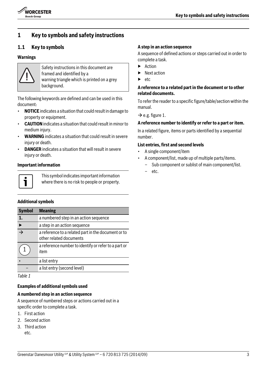

## **1 Key to symbols and safety instructions**

## <span id="page-2-0"></span>**1.1 Key to symbols**

#### **Warnings**



Safety instructions in this document are framed and identified by a warning triangle which is printed on a grey background.

The following keywords are defined and can be used in this document:

- **NOTICE** indicates a situation that could result in damage to property or equipment.
- **CAUTION** indicates a situation that could result in minor to medium injury.
- **WARNING** indicates a situation that could result in severe injury or death.
- **DANGER** indicates a situation that will result in severe injury or death.

#### **Important information**



This symbol indicates important information where there is no risk to people or property.

#### **Additional symbols**

| <b>Symbol</b>            | <b>Meaning</b>                                                                 |
|--------------------------|--------------------------------------------------------------------------------|
| 1.                       | a numbered step in an action sequence                                          |
|                          | a step in an action sequence                                                   |
| $\overline{\rightarrow}$ | a reference to a related part in the document or to<br>other related documents |
|                          | a reference number to identify or refer to a part or<br>item                   |
|                          | a list entry                                                                   |
|                          | a list entry (second level)                                                    |

*Table 1*

#### **Examples of additional symbols used**

#### **A numbered step in an action sequence**

A sequence of numbered steps or actions carried out in a specific order to complete a task.

- 1. First action
- 2. Second action
- 3. Third action etc.

#### **A step in an action sequence**

A sequence of defined actions or steps carried out in order to complete a task.

- ▶ Action
- **Next action**
- etc.

#### **A reference to a related part in the document or to other related documents.**

To refer the reader to a specific figure/table/section within the manual.

 $\rightarrow$  e.g. figure 1.

#### **A reference number to identify or refer to a part or item.**

In a related figure, items or parts identified by a sequential number.

#### **List entries, first and second levels**

- A single component/item
- A component/list, made up of multiple parts/items.
	- Sub component or sublist of main component/list.
	- etc.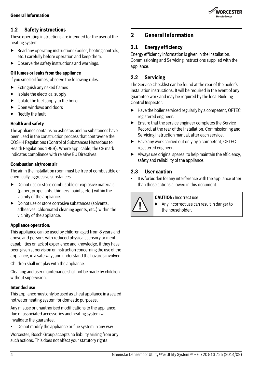

## <span id="page-3-0"></span>**1.2 Safety instructions**

These operating instructions are intended for the user of the heating system.

- $\blacktriangleright$  Read any operating instructions (boiler, heating controls, etc.) carefully before operation and keep them.
- $\triangleright$  Observe the safety instructions and warnings.

#### **Oil fumes or leaks from the appliance**

If you smell oil fumes, observe the following rules.

- $\blacktriangleright$  Extinguish any naked flames
- $\blacktriangleright$  Isolate the electrical supply
- $\blacktriangleright$  Isolate the fuel supply to the boiler
- ▶ Open windows and doors
- **Rectify the fault**

#### **Health and safety**

The appliance contains no asbestos and no substances have been used in the construction process that contravene the COSHH Regulations (Control of Substances Hazardous to Health Regulations 1988). Where applicable, the CE mark indicates compliance with relative EU Directives.

#### **Combustion air/room air**

The air in the installation room must be free of combustible or chemically aggressive substances.

- $\triangleright$  Do not use or store combustible or explosive materials (paper, propellants, thinners, paints, etc.) within the vicinity of the appliance.
- $\triangleright$  Do not use or store corrosive substances (solvents, adhesives, chlorinated cleaning agents, etc.) within the vicinity of the appliance.

#### **Appliance operation:**

This appliance can be used by children aged from 8 years and above and persons with reduced physical, sensory or mental capabilities or lack of experience and knowledge, if they have been given supervision or instruction concerning the use of the appliance, in a safe way, and understand the hazards involved.

Children shall not play with the appliance.

Cleaning and user maintenance shall not be made by children without supervision.

#### **Intended use**

This appliance must only be used as a heat appliance in a sealed hot water heating system for domestic purposes.

Any misuse or unauthorised modifications to the appliance, flue or associated accessories and heating system will invalidate the guarantee.

• Do not modify the appliance or flue system in any way.

Worcester, Bosch Group accepts no liability arising from any such actions. This does not affect your statutory rights.

## <span id="page-3-1"></span>**2 General Information**

## <span id="page-3-2"></span>**2.1 Energy efficiency**

Energy efficiency information is given in the Installation, Commissioning and Servicing Instructions supplied with the appliance.

## <span id="page-3-3"></span>**2.2 Servicing**

The Service Checklist can be found at the rear of the boiler's installation instructions. It will be required in the event of any guarantee work and may be required by the local Building Control Inspector.

- ▶ Have the boiler serviced regularly by a competent, OFTEC registered engineer.
- $\blacktriangleright$  Ensure that the service engineer completes the Service Record, at the rear of the Installation, Commissioning and Servicing Instruction manual, after each service.
- ▶ Have any work carried out only by a competent, OFTEC registered engineer.
- $\blacktriangleright$  Always use original spares, to help maintain the efficiency, safety and reliability of the appliance.

## <span id="page-3-4"></span>**2.3 User caution**

It is forbidden for any interference with the appliance other than those actions allowed in this document.



#### **CAUTION:** Incorrect use

▶ Any incorrect use can result in danger to the householder.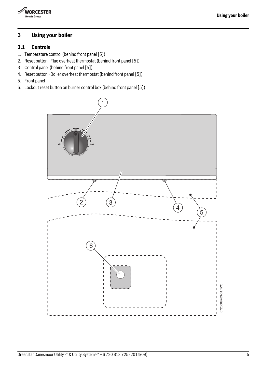

## <span id="page-4-0"></span>**3 Using your boiler**

## <span id="page-4-1"></span>**3.1 Controls**

- 1. Temperature control (behind front panel [5])
- 2. Reset button Flue overheat thermostat (behind front panel [5])
- 3. Control panel (behind front panel [5])
- 4. Reset button Boiler overheat thermostat (behind front panel [5])
- 5. Front panel
- 6. Lockout reset button on burner control box (behind front panel [5])

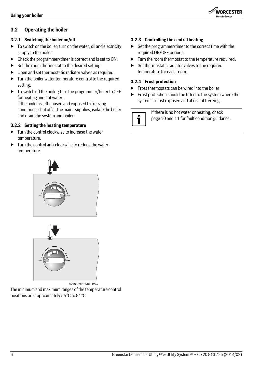<span id="page-5-0"></span>

#### <span id="page-5-1"></span>**3.2.1 Switching the boiler on/off**

- $\triangleright$  To switch on the boiler; turn on the water, oil and electricity supply to the boiler.
- ▶ Check the programmer/timer is correct and is set to ON.
- $\triangleright$  Set the room thermostat to the desired setting.
- $\triangleright$  Open and set thermostatic radiator valves as required.
- $\blacktriangleright$  Turn the boiler water temperature control to the required setting.
- ▶ To switch off the boiler; turn the programmer/timer to OFF for heating and hot water.

If the boiler is left unused and exposed to freezing conditions; shut off all the mains supplies, isolate the boiler and drain the system and boiler.

#### <span id="page-5-2"></span>**3.2.2 Setting the heating temperature**

- $\blacktriangleright$  Turn the control clockwise to increase the water temperature.
- $\blacktriangleright$  Turn the control anti-clockwise to reduce the water temperature.





6720809783-02.1Wo

The minimum and maximum ranges of the temperature control positions are approximately 55°C to 81°C.

#### <span id="page-5-3"></span>**3.2.3 Controlling the central heating**

▶ Set the programmer/timer to the correct time with the required ON/OFF periods.

**WORCESTER Bosch Group** 

- ▶ Turn the room thermostat to the temperature required.
- $\triangleright$  Set thermostatic radiator valves to the required temperature for each room.

#### <span id="page-5-4"></span>**3.2.4 Frost protection**

- $\blacktriangleright$  Frost thermostats can be wired into the boiler.
- $\blacktriangleright$  Frost protection should be fitted to the system where the system is most exposed and at risk of freezing.

If there is no hot water or heating, check pag[e 10](#page-9-0) an[d 11](#page-10-0) for fault condition guidance.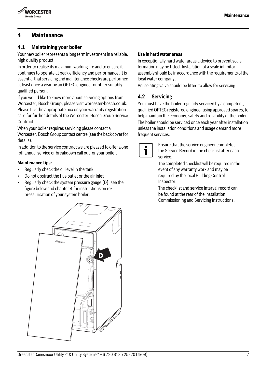

## <span id="page-6-0"></span>**4 Maintenance**

#### <span id="page-6-1"></span>**4.1 Maintaining your boiler**

Your new boiler represents a long term investment in a reliable, high quality product.

In order to realise its maximum working life and to ensure it continues to operate at peak efficiency and performance, it is essential that servicing and maintenance checks are performed at least once a year by an OFTEC engineer or other suitably qualified person.

If you would like to know more about servicing options from Worcester, Bosch Group, please visit worcester-bosch.co.uk. Please tick the appropriate box on your warranty registration card for further details of the Worcester, Bosch Group Service Contract.

When your boiler requires servicing please contact a Worcester, Bosch Group contact centre (see the back cover for details).

In addition to the service contract we are pleased to offer a one -off annual service or breakdown call out for your boiler.

#### **Maintenance tips:**

- Regularly check the oil level in the tank
- Do not obstruct the flue outlet or the air inlet
- Regularly check the system pressure gauge [D], see the figure below and chapter 4 for instructions on repressurisation of your system boiler.

## **Use in hard water areas**

In exceptionally hard water areas a device to prevent scale formation may be fitted. Installation of a scale inhibitor assembly should be in accordance with the requirements of the local water company.

An isolating valve should be fitted to allow for servicing.

#### <span id="page-6-2"></span>**4.2 Servicing**

You must have the boiler regularly serviced by a competent, qualified OFTEC registered engineer using approved spares, to help maintain the economy, safety and reliability of the boiler. The boiler should be serviced once each year after installation unless the installation conditions and usage demand more frequent services.



Ensure that the service engineer completes the Service Record in the checklist after each service.

The completed checklist will be required in the event of any warranty work and may be required by the local Building Control Inspector.

The checklist and service interval record can be found at the rear of the Installation, Commissioning and Servicing Instructions.

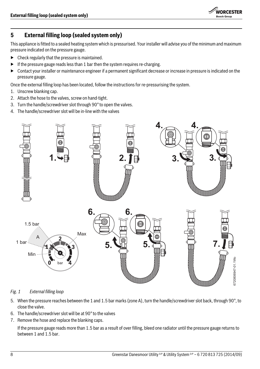

## <span id="page-7-0"></span>**5 External filling loop (sealed system only)**

This appliance is fitted to a sealed heating system which is pressurised. Your installer will advise you of the minimum and maximum pressure indicated on the pressure gauge.

- $\blacktriangleright$  Check regularly that the pressure is maintained.
- If the pressure gauge reads less than 1 bar then the system requires re-charging.
- ▶ Contact your installer or maintenance engineer if a permanent significant decrease or increase in pressure is indicated on the pressure gauge.

Once the external filling loop has been located, follow the instructions for re-pressurising the system.

- 1. Unscrew blanking cap.
- 2. Attach the hose to the valves, screw on hand-tight.
- 3. Turn the handle/screwdriver slot through 90° to open the valves.
- 4. The handle/screwdriver slot will be in-line with the valves



<span id="page-7-1"></span>*Fig. 1 External filling loop*

- 5. When the pressure reaches between the 1 and 1.5 bar marks (zone A), turn the handle/screwdriver slot back, through 90°, to close the valve.
- 6. The handle/screwdriver slot will be at 90° to the valves
- 7. Remove the hose and replace the blanking caps.

If the pressure gauge reads more than 1.5 bar as a result of over filling, bleed one radiator until the pressure gauge returns to between 1 and 1.5 bar.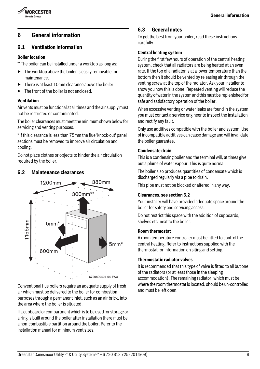



## <span id="page-8-0"></span>**6 General information**

### <span id="page-8-1"></span>**6.1 Ventilation information**

#### **Boiler location**

\*\* The boiler can be installed under a worktop as long as:

- $\blacktriangleright$  The worktop above the boiler is easily removable for maintenance.
- ▶ There is at least 10mm clearance above the boiler.
- ▶ The front of the boiler is not enclosed.

#### **Ventilation**

Air vents must be functional at all times and the air supply must not be restricted or contaminated.

The boiler clearances must meet the minimum shown below for servicing and venting purposes.

\* If this clearance is less than 75mm the flue 'knock-out' panel sections must be removed to improve air circulation and cooling.

Do not place clothes or objects to hinder the air circulation required by the boiler.

#### <span id="page-8-2"></span>**6.2 Maintenance clearances**



Conventional flue boilers require an adequate supply of fresh air which must be delivered to the boiler for combustion purposes through a permanent inlet, such as an air brick, into the area where the boiler is situated.

If a cupboard or compartment which is to be used for storage or airing is built around the boiler after installation there must be a non-combustible partition around the boiler. Refer to the installation manual for minimum vent sizes.

## <span id="page-8-3"></span>**6.3 General notes**

To get the best from your boiler, read these instructions carefully.

#### **Central heating system**

During the first few hours of operation of the central heating system, check that all radiators are being heated at an even rate. If the top of a radiator is at a lower temperature than the bottom then it should be vented by releasing air through the venting screw at the top of the radiator. Ask your installer to show you how this is done. Repeated venting will reduce the quantity of water in the system and this must be replenished for safe and satisfactory operation of the boiler.

When excessive venting or water leaks are found in the system you must contact a service engineer to inspect the installation and rectify any fault.

Only use additives compatible with the boiler and system. Use of incompatible additives can cause damage and will invalidate the boiler guarantee.

#### **Condensate drain**

This is a condensing boiler and the terminal will, at times give out a plume of water vapour. This is quite normal.

The boiler also produces quantities of condensate which is discharged regularly via a pipe to drain.

This pipe must not be blocked or altered in any way.

#### **Clearances, see sectio[n 6.2](#page-8-2)**

Your installer will have provided adequate space around the boiler for safety and servicing access.

Do not restrict this space with the addition of cupboards, shelves etc. next to the boiler.

#### **Room thermostat**

A room temperature controller must be fitted to control the central heating. Refer to instructions supplied with the thermostat for information on siting and setting.

#### **Thermostatic radiator valves**

It is recommended that this type of valve is fitted to all but one of the radiators (or at least those in the sleeping accommodation). The remaining radiator, which must be where the room thermostat is located, should be un-controlled and must be left open.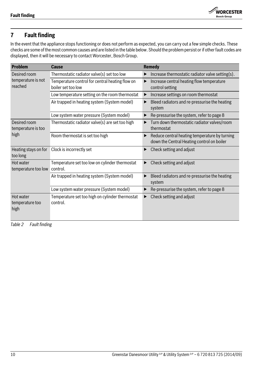

## <span id="page-9-0"></span>**7 Fault finding**

In the event that the appliance stops functioning or does not perform as expected, you can carry out a few simple checks. These checks are some of the most common causes and are listed in the table below. Should the problem persist or if other fault codes are displayed, then it will be necessary to contact Worcester, Bosch Group.

| <b>Problem</b>                                | <b>Cause</b>                                                          | Remedy                                                                                      |
|-----------------------------------------------|-----------------------------------------------------------------------|---------------------------------------------------------------------------------------------|
| Desired room<br>temperature is not<br>reached | Thermostatic radiator valve(s) set too low                            | Increase thermostatic radiator valve setting(s).                                            |
|                                               | Temperature control for central heating flow on<br>boiler set too low | Increase central heating flow temperature<br>control setting                                |
|                                               | Low temperature setting on the room thermostat                        | Increase settings on room thermostat                                                        |
|                                               | Air trapped in heating system (System model)                          | Bleed radiators and re-pressurise the heating<br>▶<br>system                                |
|                                               | Low system water pressure (System model)                              | Re-pressurise the system, refer to page 8                                                   |
| Desired room<br>temperature is too<br>high    | Thermostatic radiator valve(s) are set too high                       | Turn down thermostatic radiator valves/room<br>thermostat                                   |
|                                               | Room thermostat is set too high                                       | Reduce central heating temperature by turning<br>down the Central Heating control on boiler |
| Heating stays on for<br>too long              | Clock is incorrectly set                                              | Check setting and adjust                                                                    |
| Hot water<br>temperature too low              | Temperature set too low on cylinder thermostat<br>control.            | Check setting and adjust                                                                    |
|                                               | Air trapped in heating system (System model)                          | Bleed radiators and re-pressurise the heating<br>system                                     |
|                                               | Low system water pressure (System model)                              | Re-pressurise the system, refer to page 8                                                   |
| Hot water<br>temperature too<br>high          | Temperature set too high on cylinder thermostat<br>control.           | Check setting and adjust                                                                    |

*Table 2 Fault finding*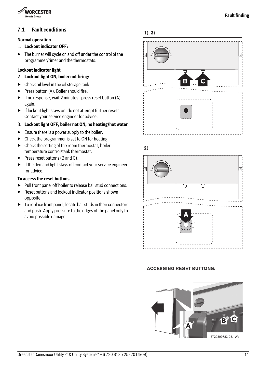

### <span id="page-10-0"></span>**7.1 Fault conditions**

#### **Normal operation**

#### 1. **Lockout indicator OFF:**

The burner will cycle on and off under the control of the programmer/timer and the thermostats.

#### **Lockout indicator light**

#### 2. **Lockout light ON, boiler not firing:**

- $\blacktriangleright$  Check oil level in the oil storage tank.
- $\blacktriangleright$  Press button (A). Boiler should fire.
- $\blacktriangleright$  If no response, wait 2 minutes press reset button (A) again.
- $\blacktriangleright$  If lockout light stays on, do not attempt further resets. Contact your service engineer for advice.
- 3. **Lockout light OFF, boiler not ON, no heating/hot water**
- $\blacktriangleright$  Ensure there is a power supply to the boiler.
- $\triangleright$  Check the programmer is set to ON for heating.
- $\blacktriangleright$  Check the setting of the room thermostat, boiler temperature control/tank thermostat.
- $\blacktriangleright$  Press reset buttons (B and C).
- $\blacktriangleright$  If the demand light stays off contact your service engineer for advice.

#### **To access the reset buttons**

- $\blacktriangleright$  Pull front panel off boiler to release ball stud connections.
- $\blacktriangleright$  Reset buttons and lockout indicator positions shown opposite.
- $\triangleright$  To replace front panel, locate ball studs in their connectors and push. Apply pressure to the edges of the panel only to avoid possible damage.







#### **ACCESSING RESET BUTTONS:**

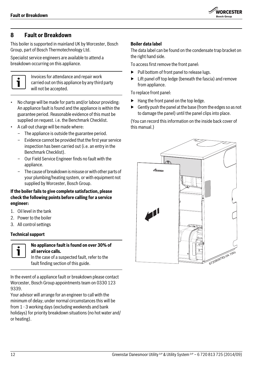

## <span id="page-11-0"></span>**8 Fault or Breakdown**

This boiler is supported in mainland UK by Worcester, Bosch Group, part of Bosch Thermotechnology Ltd.

Specialist service engineers are available to attend a breakdown occurring on this appliance.



Invoices for attendance and repair work carried out on this appliance by any third party will not be accepted.

- No charge will be made for parts and/or labour providing: An appliance fault is found and the appliance is within the guarantee period. Reasonable evidence of this must be supplied on request. i.e. the Benchmark Checklist.
- A call-out charge will be made where:
	- The appliance is outside the guarantee period.
	- Evidence cannot be provided that the first year service inspection has been carried out (i.e. an entry in the Benchmark Checklist).
	- Our Field Service Engineer finds no fault with the appliance.
	- The cause of breakdown is misuse or with other parts of your plumbing/heating system, or with equipment not supplied by Worcester, Bosch Group.

**If the boiler fails to give complete satisfaction, please check the following points before calling for a service engineer:**

- 1. Oil level in the tank
- 2. Power to the boiler
- 3. All control settings

#### **Technical support**



### **No appliance fault is found on over 30% of all service calls.**

In the event of a appliance fault or breakdown please contact Worcester, Bosch Group appointments team on 0330 123 9339.

Your advisor will arrange for an engineer to call with the minimum of delay; under normal circumstances this will be from 1 - 3 working days (excluding weekends and bank holidays) for priority breakdown situations (no hot water and/ or heating).

#### **Boiler data label**

The data label can be found on the condensate trap bracket on the right hand side.

To access first remove the front panel:

- ▶ Pull bottom of front panel to release lugs.
- $\blacktriangleright$  Lift panel off top ledge (beneath the fascia) and remove from appliance.

To replace front panel:

- $\blacktriangleright$  Hang the front panel on the top ledge.
- $\blacktriangleright$  Gently push the panel at the base (from the edges so as not to damage the panel) until the panel clips into place.

(You can record this information on the inside back cover of this manual.)

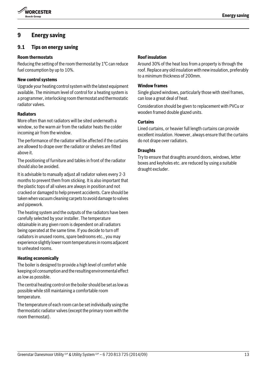

## <span id="page-12-0"></span>**9 Energy saving**

## <span id="page-12-1"></span>**9.1 Tips on energy saving**

#### **Room thermostats**

Reducing the setting of the room thermostat by 1°C can reduce fuel consumption by up to 10%.

#### **New control systems**

Upgrade your heating control system with the latest equipment available. The minimum level of control for a heating system is a programmer, interlocking room thermostat and thermostatic radiator valves.

#### **Radiators**

More often than not radiators will be sited underneath a window, so the warm air from the radiator heats the colder incoming air from the window.

The performance of the radiator will be affected if the curtains are allowed to drape over the radiator or shelves are fitted above it.

The positioning of furniture and tables in front of the radiator should also be avoided.

It is advisable to manually adjust all radiator valves every 2-3 months to prevent them from sticking. It is also important that the plastic tops of all valves are always in position and not cracked or damaged to help prevent accidents. Care should be taken when vacuum cleaning carpets to avoid damage to valves and pipework.

The heating system and the outputs of the radiators have been carefully selected by your installer. The temperature obtainable in any given room is dependent on all radiators being operated at the same time. If you decide to turn off radiators in unused rooms, spare bedrooms etc., you may experience slightly lower room temperatures in rooms adjacent to unheated rooms.

#### **Heating economically**

The boiler is designed to provide a high level of comfort while keeping oil consumption and the resulting environmental effect as low as possible.

The central heating control on the boiler should be set as low as possible while still maintaining a comfortable room temperature.

The temperature of each room can be set individually using the thermostatic radiator valves (except the primary room with the room thermostat).

#### **Roof insulation**

Around 30% of the heat loss from a property is through the roof. Replace any old insulation with new insulation, preferably to a minimum thickness of 200mm.

#### **Window frames**

Single glazed windows, particularly those with steel frames, can lose a great deal of heat.

Consideration should be given to replacement with PVCu or wooden framed double glazed units.

#### **Curtains**

Lined curtains, or heavier full length curtains can provide excellent insulation. However, always ensure that the curtains do not drape over radiators.

#### **Draughts**

Try to ensure that draughts around doors, windows, letter boxes and keyholes etc. are reduced by using a suitable draught excluder.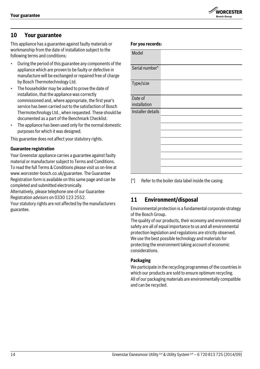## **WORCESTER** .<br>Rosch Groun

## <span id="page-13-0"></span>**10 Your guarantee**

This appliance has a guarantee against faulty materials or workmanship from the date of installation subject to the following terms and conditions:

- During the period of this guarantee any components of the appliance which are proven to be faulty or defective in manufacture will be exchanged or repaired free of charge by Bosch Thermotechnology Ltd.
- The householder may be asked to prove the date of installation, that the appliance was correctly commissioned and, where appropriate, the first year's service has been carried out to the satisfaction of Bosch Thermotechnology Ltd., when requested. These should be documented as a part of the Benchmark Checklist.
- The appliance has been used only for the normal domestic purposes for which it was designed.

This guarantee does not affect your statutory rights.

#### **Guarantee registration**

Your Greenstar appliance carries a guarantee against faulty material or manufacturer subject to Terms and Conditions. To read the full Terms & Conditions please visit us on-line at www.worcester-bosch.co.uk/guarantee. The Guarantee Registration form is available on this same page and can be completed and submitted electronically.

Alternatively, please telephone one of our Guarantee Registration advisors on 0330 123 2552.

Your statutory rights are not affected by the manufacturers guarantee.

| Model             |  |
|-------------------|--|
| Serial number*    |  |
|                   |  |
| Type/size         |  |
| Date of           |  |
|                   |  |
| installation      |  |
| Installer details |  |
|                   |  |
|                   |  |
|                   |  |
|                   |  |
|                   |  |
|                   |  |
|                   |  |
|                   |  |
|                   |  |

[\*] Refer to the boiler data label inside the casing

## <span id="page-13-1"></span>**11 Environment/disposal**

Environmental protection is a fundamental corporate strategy of the Bosch Group.

The quality of our products, their economy and environmental safety are all of equal importance to us and all environmental protection legislation and regulations are strictly observed. We use the best possible technology and materials for protecting the environment taking account of economic considerations.

#### **Packaging**

**For you records:**

We participate in the recycling programmes of the countries in which our products are sold to ensure optimum recycling. All of our packaging materials are environmentally compatible and can be recycled.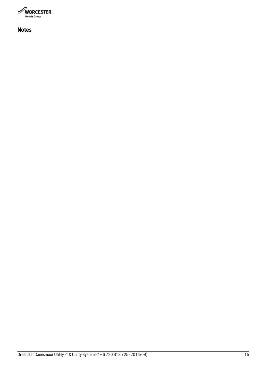

**Notes**